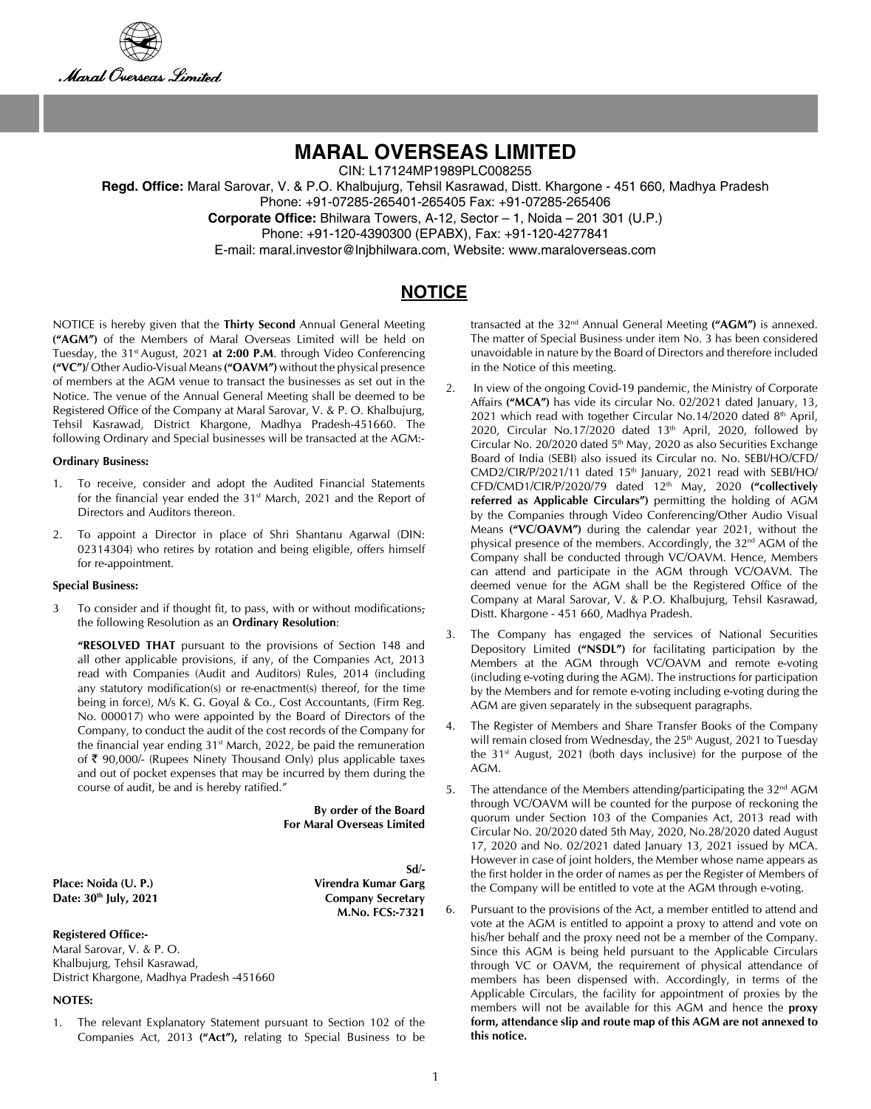



CIN: L17124MP1989PLC008255

**Regd. Office:** Maral Sarovar, V. & P.O. Khalbujurg, Tehsil Kasrawad, Distt. Khargone - 451 660, Madhya Pradesh Phone: +91-07285-265401-265405 Fax: +91-07285-265406

**Corporate Office:** Bhilwara Towers, A-12, Sector – 1, Noida – 201 301 (U.P.)

Phone: +91-120-4390300 (EPABX), Fax: +91-120-4277841

E-mail: maral.investor@lnjbhilwara.com, Website: www.maraloverseas.com

# **NOTICE**

NOTICE is hereby given that the **Thirty Second** Annual General Meeting **("AGM")** of the Members of Maral Overseas Limited will be held on Tuesday, the 31<sup>st</sup> August, 2021 at 2:00 P.M. through Video Conferencing **("VC")/** Other Audio-Visual Means **("OAVM")** without the physical presence of members at the AGM venue to transact the businesses as set out in the Notice. The venue of the Annual General Meeting shall be deemed to be Registered Office of the Company at Maral Sarovar, V. & P. O. Khalbujurg, Tehsil Kasrawad, District Khargone, Madhya Pradesh-451660. The following Ordinary and Special businesses will be transacted at the AGM:-

#### **Ordinary Business:**

- 1. To receive, consider and adopt the Audited Financial Statements for the financial year ended the  $31<sup>st</sup>$  March, 2021 and the Report of Directors and Auditors thereon.
- 2. To appoint a Director in place of Shri Shantanu Agarwal (DIN: 02314304) who retires by rotation and being eligible, offers himself for re-appointment.

#### **Special Business:**

3 To consider and if thought fit, to pass, with or without modifications, the following Resolution as an **Ordinary Resolution**:

**"RESOLVED THAT** pursuant to the provisions of Section 148 and all other applicable provisions, if any, of the Companies Act, 2013 read with Companies (Audit and Auditors) Rules, 2014 (including any statutory modification(s) or re-enactment(s) thereof, for the time being in force), M/s K. G. Goyal & Co., Cost Accountants, (Firm Reg. No. 000017) who were appointed by the Board of Directors of the Company, to conduct the audit of the cost records of the Company for the financial year ending  $31<sup>st</sup>$  March, 2022, be paid the remuneration of  $\bar{\tau}$  90,000/- (Rupees Ninety Thousand Only) plus applicable taxes and out of pocket expenses that may be incurred by them during the course of audit, be and is hereby ratified."

> **By order of the Board For Maral Overseas Limited**

**Place: Noida (U. P.) Virendra Kumar Garg**  Date: 30<sup>th</sup> July, 2021 Company Secretary

**Sd/- M.No. FCS:-7321**

#### **Registered Office:-**

Maral Sarovar, V. & P. O. Khalbujurg, Tehsil Kasrawad, District Khargone, Madhya Pradesh -451660

#### **NOTES:**

1. The relevant Explanatory Statement pursuant to Section 102 of the Companies Act, 2013 **("Act"),** relating to Special Business to be transacted at the 32nd Annual General Meeting **("AGM")** is annexed. The matter of Special Business under item No. 3 has been considered unavoidable in nature by the Board of Directors and therefore included in the Notice of this meeting.

- 2. In view of the ongoing Covid-19 pandemic, the Ministry of Corporate Affairs **("MCA")** has vide its circular No. 02/2021 dated January, 13, 2021 which read with together Circular No.14/2020 dated  $8<sup>th</sup>$  April, 2020, Circular No.17/2020 dated 13<sup>th</sup> April, 2020, followed by Circular No. 20/2020 dated 5<sup>th</sup> May, 2020 as also Securities Exchange Board of India (SEBI) also issued its Circular no. No. SEBI/HO/CFD/ CMD2/CIR/P/2021/11 dated 15<sup>th</sup> January, 2021 read with SEBI/HO/ CFD/CMD1/CIR/P/2020/79 dated 12th May, 2020 **("collectively referred as Applicable Circulars")** permitting the holding of AGM by the Companies through Video Conferencing/Other Audio Visual Means **("VC/OAVM")** during the calendar year 2021, without the physical presence of the members. Accordingly, the 32<sup>nd</sup> AGM of the Company shall be conducted through VC/OAVM. Hence, Members can attend and participate in the AGM through VC/OAVM. The deemed venue for the AGM shall be the Registered Office of the Company at Maral Sarovar, V. & P.O. Khalbujurg, Tehsil Kasrawad, Distt. Khargone - 451 660, Madhya Pradesh.
- 3. The Company has engaged the services of National Securities Depository Limited **("NSDL")** for facilitating participation by the Members at the AGM through VC/OAVM and remote e-voting (including e-voting during the AGM). The instructions for participation by the Members and for remote e-voting including e-voting during the AGM are given separately in the subsequent paragraphs.
- 4. The Register of Members and Share Transfer Books of the Company will remain closed from Wednesday, the 25<sup>th</sup> August, 2021 to Tuesday the  $31<sup>st</sup>$  August, 2021 (both days inclusive) for the purpose of the AGM.
- 5. The attendance of the Members attending/participating the  $32<sup>nd</sup>$  AGM through VC/OAVM will be counted for the purpose of reckoning the quorum under Section 103 of the Companies Act, 2013 read with Circular No. 20/2020 dated 5th May, 2020, No.28/2020 dated August 17, 2020 and No. 02/2021 dated January 13, 2021 issued by MCA. However in case of joint holders, the Member whose name appears as the first holder in the order of names as per the Register of Members of the Company will be entitled to vote at the AGM through e-voting.
- Pursuant to the provisions of the Act, a member entitled to attend and vote at the AGM is entitled to appoint a proxy to attend and vote on his/her behalf and the proxy need not be a member of the Company. Since this AGM is being held pursuant to the Applicable Circulars through VC or OAVM, the requirement of physical attendance of members has been dispensed with. Accordingly, in terms of the Applicable Circulars, the facility for appointment of proxies by the members will not be available for this AGM and hence the **proxy form, attendance slip and route map of this AGM are not annexed to this notice.**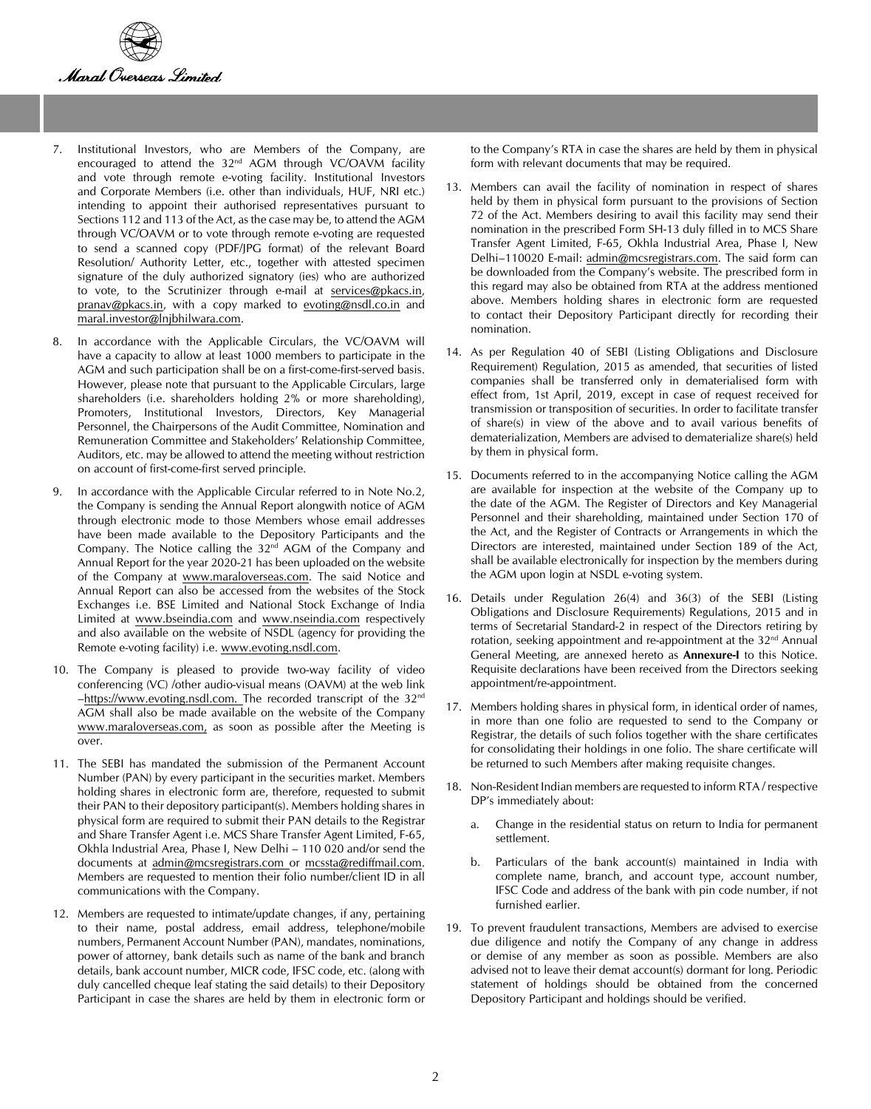

- 7. Institutional Investors, who are Members of the Company, are encouraged to attend the 32<sup>nd</sup> AGM through VC/OAVM facility and vote through remote e-voting facility. Institutional Investors and Corporate Members (i.e. other than individuals, HUF, NRI etc.) intending to appoint their authorised representatives pursuant to Sections 112 and 113 of the Act, as the case may be, to attend the AGM through VC/OAVM or to vote through remote e-voting are requested to send a scanned copy (PDF/JPG format) of the relevant Board Resolution/ Authority Letter, etc., together with attested specimen signature of the duly authorized signatory (ies) who are authorized to vote, to the Scrutinizer through e-mail at services@pkacs.in, pranav@pkacs.in, with a copy marked to evoting@nsdl.co.in and maral.investor@lnjbhilwara.com.
- 8. In accordance with the Applicable Circulars, the VC/OAVM will have a capacity to allow at least 1000 members to participate in the AGM and such participation shall be on a first-come-first-served basis. However, please note that pursuant to the Applicable Circulars, large shareholders (i.e. shareholders holding 2% or more shareholding), Promoters, Institutional Investors, Directors, Key Managerial Personnel, the Chairpersons of the Audit Committee, Nomination and Remuneration Committee and Stakeholders' Relationship Committee, Auditors, etc. may be allowed to attend the meeting without restriction on account of first-come-first served principle.
- 9. In accordance with the Applicable Circular referred to in Note No.2, the Company is sending the Annual Report alongwith notice of AGM through electronic mode to those Members whose email addresses have been made available to the Depository Participants and the Company. The Notice calling the 32nd AGM of the Company and Annual Report for the year 2020-21 has been uploaded on the website of the Company at www.maraloverseas.com. The said Notice and Annual Report can also be accessed from the websites of the Stock Exchanges i.e. BSE Limited and National Stock Exchange of India Limited at www.bseindia.com and www.nseindia.com respectively and also available on the website of NSDL (agency for providing the Remote e-voting facility) i.e. www.evoting.nsdl.com.
- 10. The Company is pleased to provide two-way facility of video conferencing (VC) /other audio-visual means (OAVM) at the web link –https://www.evoting.nsdl.com. The recorded transcript of the 32nd AGM shall also be made available on the website of the Company www.maraloverseas.com, as soon as possible after the Meeting is over.
- 11. The SEBI has mandated the submission of the Permanent Account Number (PAN) by every participant in the securities market. Members holding shares in electronic form are, therefore, requested to submit their PAN to their depository participant(s). Members holding shares in physical form are required to submit their PAN details to the Registrar and Share Transfer Agent i.e. MCS Share Transfer Agent Limited, F-65, Okhla Industrial Area, Phase I, New Delhi – 110 020 and/or send the documents at admin@mcsregistrars.com or mcssta@rediffmail.com. Members are requested to mention their folio number/client ID in all communications with the Company.
- 12. Members are requested to intimate/update changes, if any, pertaining to their name, postal address, email address, telephone/mobile numbers, Permanent Account Number (PAN), mandates, nominations, power of attorney, bank details such as name of the bank and branch details, bank account number, MICR code, IFSC code, etc. (along with duly cancelled cheque leaf stating the said details) to their Depository Participant in case the shares are held by them in electronic form or

to the Company's RTA in case the shares are held by them in physical form with relevant documents that may be required.

- 13. Members can avail the facility of nomination in respect of shares held by them in physical form pursuant to the provisions of Section 72 of the Act. Members desiring to avail this facility may send their nomination in the prescribed Form SH-13 duly filled in to MCS Share Transfer Agent Limited, F-65, Okhla Industrial Area, Phase I, New Delhi–110020 E-mail: admin@mcsregistrars.com. The said form can be downloaded from the Company's website. The prescribed form in this regard may also be obtained from RTA at the address mentioned above. Members holding shares in electronic form are requested to contact their Depository Participant directly for recording their nomination.
- 14. As per Regulation 40 of SEBI (Listing Obligations and Disclosure Requirement) Regulation, 2015 as amended, that securities of listed companies shall be transferred only in dematerialised form with effect from, 1st April, 2019, except in case of request received for transmission or transposition of securities. In order to facilitate transfer of share(s) in view of the above and to avail various benefits of dematerialization, Members are advised to dematerialize share(s) held by them in physical form.
- 15. Documents referred to in the accompanying Notice calling the AGM are available for inspection at the website of the Company up to the date of the AGM. The Register of Directors and Key Managerial Personnel and their shareholding, maintained under Section 170 of the Act, and the Register of Contracts or Arrangements in which the Directors are interested, maintained under Section 189 of the Act, shall be available electronically for inspection by the members during the AGM upon login at NSDL e-voting system.
- 16. Details under Regulation 26(4) and 36(3) of the SEBI (Listing Obligations and Disclosure Requirements) Regulations, 2015 and in terms of Secretarial Standard-2 in respect of the Directors retiring by rotation, seeking appointment and re-appointment at the 32<sup>nd</sup> Annual General Meeting, are annexed hereto as **Annexure-I** to this Notice. Requisite declarations have been received from the Directors seeking appointment/re-appointment.
- 17. Members holding shares in physical form, in identical order of names, in more than one folio are requested to send to the Company or Registrar, the details of such folios together with the share certificates for consolidating their holdings in one folio. The share certificate will be returned to such Members after making requisite changes.
- 18. Non-Resident Indian members are requested to inform RTA / respective DP's immediately about:
	- a. Change in the residential status on return to India for permanent settlement.
	- b. Particulars of the bank account(s) maintained in India with complete name, branch, and account type, account number, IFSC Code and address of the bank with pin code number, if not furnished earlier.
- 19. To prevent fraudulent transactions, Members are advised to exercise due diligence and notify the Company of any change in address or demise of any member as soon as possible. Members are also advised not to leave their demat account(s) dormant for long. Periodic statement of holdings should be obtained from the concerned Depository Participant and holdings should be verified.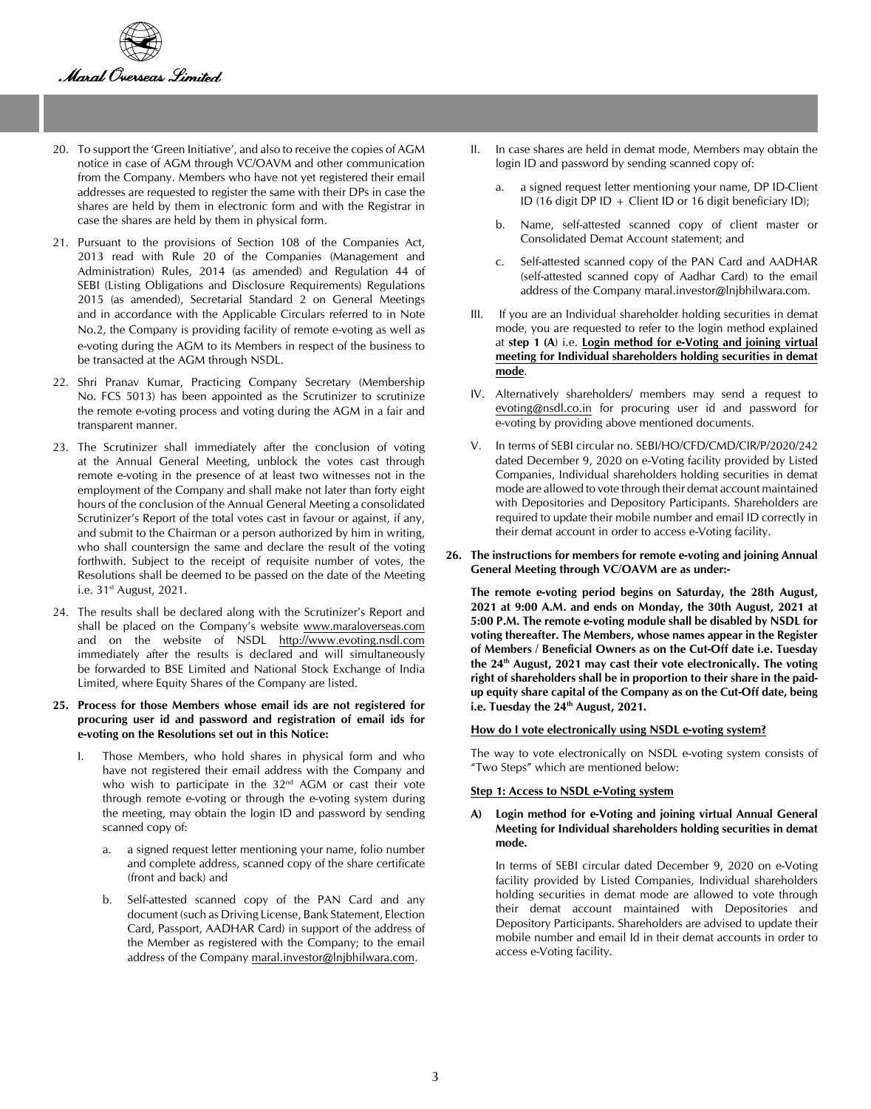

- 20. To support the 'Green Initiative', and also to receive the copies of AGM notice in case of AGM through VC/OAVM and other communication from the Company. Members who have not yet registered their email addresses are requested to register the same with their DPs in case the shares are held by them in electronic form and with the Registrar in case the shares are held by them in physical form.
- 21. Pursuant to the provisions of Section 108 of the Companies Act, 2013 read with Rule 20 of the Companies (Management and Administration) Rules, 2014 (as amended) and Regulation 44 of SEBI (Listing Obligations and Disclosure Requirements) Regulations 2015 (as amended), Secretarial Standard 2 on General Meetings and in accordance with the Applicable Circulars referred to in Note No.2, the Company is providing facility of remote e-voting as well as e-voting during the AGM to its Members in respect of the business to be transacted at the AGM through NSDL.
- 22. Shri Pranav Kumar, Practicing Company Secretary (Membership No. FCS 5013) has been appointed as the Scrutinizer to scrutinize the remote e-voting process and voting during the AGM in a fair and transparent manner.
- 23. The Scrutinizer shall immediately after the conclusion of voting at the Annual General Meeting, unblock the votes cast through remote e-voting in the presence of at least two witnesses not in the employment of the Company and shall make not later than forty eight hours of the conclusion of the Annual General Meeting a consolidated Scrutinizer's Report of the total votes cast in favour or against, if any, and submit to the Chairman or a person authorized by him in writing, who shall countersign the same and declare the result of the voting forthwith. Subject to the receipt of requisite number of votes, the Resolutions shall be deemed to be passed on the date of the Meeting i.e.  $31<sup>st</sup>$  August, 2021.
- 24. The results shall be declared along with the Scrutinizer's Report and shall be placed on the Company's website www.maraloverseas.com and on the website of NSDL http://www.evoting.nsdl.com immediately after the results is declared and will simultaneously be forwarded to BSE Limited and National Stock Exchange of India Limited, where Equity Shares of the Company are listed.

#### **25. Process for those Members whose email ids are not registered for procuring user id and password and registration of email ids for e-voting on the Resolutions set out in this Notice:**

- I. Those Members, who hold shares in physical form and who have not registered their email address with the Company and who wish to participate in the 32<sup>nd</sup> AGM or cast their vote through remote e-voting or through the e-voting system during the meeting, may obtain the login ID and password by sending scanned copy of:
	- a. a signed request letter mentioning your name, folio number and complete address, scanned copy of the share certificate (front and back) and
	- b. Self-attested scanned copy of the PAN Card and any document (such as Driving License, Bank Statement, Election Card, Passport, AADHAR Card) in support of the address of the Member as registered with the Company; to the email address of the Company maral.investor@lnjbhilwara.com.
- II. In case shares are held in demat mode, Members may obtain the login ID and password by sending scanned copy of:
	- a. a signed request letter mentioning your name, DP ID-Client ID (16 digit DP ID + Client ID or 16 digit beneficiary ID);
	- b. Name, self-attested scanned copy of client master or Consolidated Demat Account statement; and
	- c. Self-attested scanned copy of the PAN Card and AADHAR (self-attested scanned copy of Aadhar Card) to the email address of the Company maral.investor@lnjbhilwara.com.
- III. If you are an Individual shareholder holding securities in demat mode, you are requested to refer to the login method explained at **step 1 (A**) i.e. **Login method for e-Voting and joining virtual meeting for Individual shareholders holding securities in demat mode**.
- IV. Alternatively shareholders/ members may send a request to evoting@nsdl.co.in for procuring user id and password for e-voting by providing above mentioned documents.
- V. In terms of SEBI circular no. SEBI/HO/CFD/CMD/CIR/P/2020/242 dated December 9, 2020 on e-Voting facility provided by Listed Companies, Individual shareholders holding securities in demat mode are allowed to vote through their demat account maintained with Depositories and Depository Participants. Shareholders are required to update their mobile number and email ID correctly in their demat account in order to access e-Voting facility.
- **26. The instructions for members for remote e-voting and joining Annual General Meeting through VC/OAVM are as under:-**

**The remote e-voting period begins on Saturday, the 28th August, 2021 at 9:00 A.M. and ends on Monday, the 30th August, 2021 at 5:00 P.M. The remote e-voting module shall be disabled by NSDL for voting thereafter. The Members, whose names appear in the Register of Members / Beneficial Owners as on the Cut-Off date i.e. Tuesday the 24th August, 2021 may cast their vote electronically. The voting right of shareholders shall be in proportion to their share in the paidup equity share capital of the Company as on the Cut-Off date, being i.e. Tuesday the 24th August, 2021.**

#### **How do I vote electronically using NSDL e-voting system?**

The way to vote electronically on NSDL e-voting system consists of "Two Steps" which are mentioned below:

#### **Step 1: Access to NSDL e-Voting system**

#### **A) Login method for e-Voting and joining virtual Annual General Meeting for Individual shareholders holding securities in demat mode.**

In terms of SEBI circular dated December 9, 2020 on e-Voting facility provided by Listed Companies, Individual shareholders holding securities in demat mode are allowed to vote through their demat account maintained with Depositories and Depository Participants. Shareholders are advised to update their mobile number and email Id in their demat accounts in order to access e-Voting facility.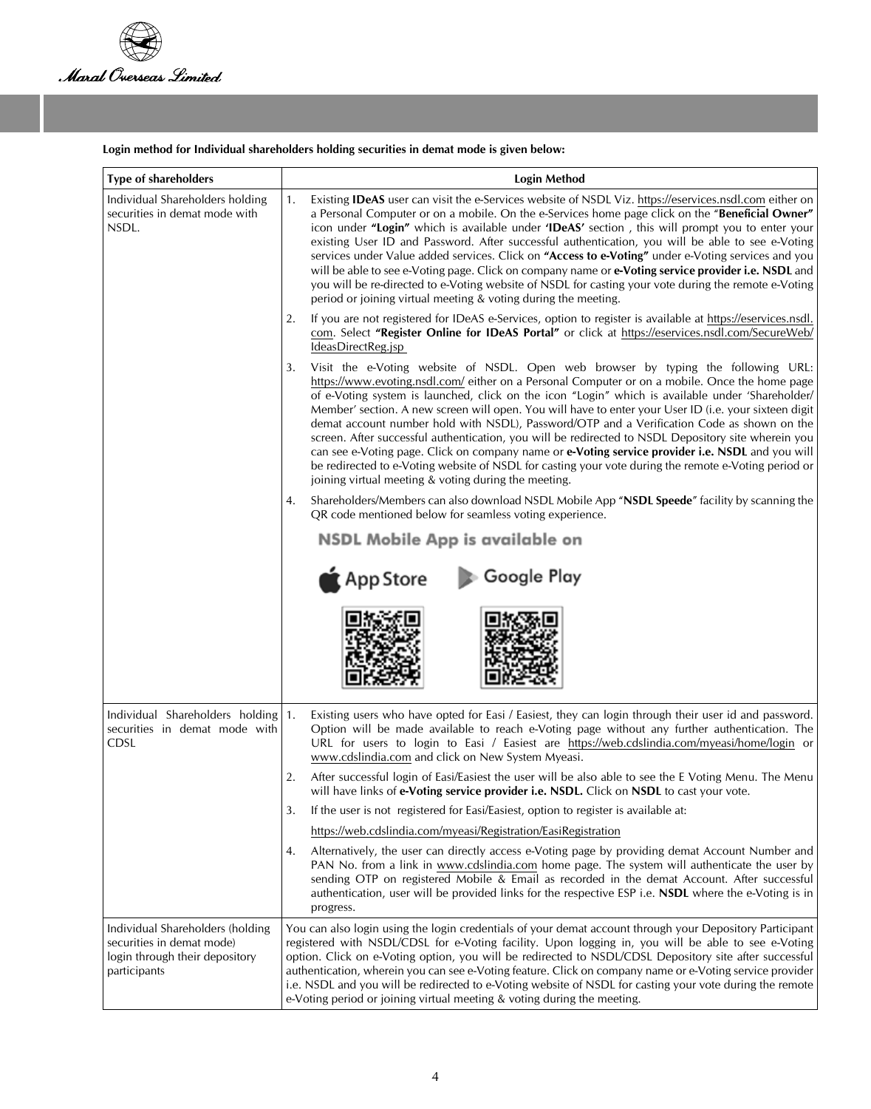

# **Login method for Individual shareholders holding securities in demat mode is given below:**

| <b>Type of shareholders</b>                                                                                     | <b>Login Method</b>                                                                                                                                                                                                                                                                                                                                                                                                                                                                                                                                                                                                                                                                                                                                                                                                                                                             |  |
|-----------------------------------------------------------------------------------------------------------------|---------------------------------------------------------------------------------------------------------------------------------------------------------------------------------------------------------------------------------------------------------------------------------------------------------------------------------------------------------------------------------------------------------------------------------------------------------------------------------------------------------------------------------------------------------------------------------------------------------------------------------------------------------------------------------------------------------------------------------------------------------------------------------------------------------------------------------------------------------------------------------|--|
| Individual Shareholders holding<br>securities in demat mode with<br>NSDL.                                       | Existing <b>IDeAS</b> user can visit the e-Services website of NSDL Viz. https://eservices.nsdl.com either on<br>1.<br>a Personal Computer or on a mobile. On the e-Services home page click on the "Beneficial Owner"<br>icon under "Login" which is available under 'IDeAS' section, this will prompt you to enter your<br>existing User ID and Password. After successful authentication, you will be able to see e-Voting<br>services under Value added services. Click on "Access to e-Voting" under e-Voting services and you<br>will be able to see e-Voting page. Click on company name or e-Voting service provider i.e. NSDL and<br>you will be re-directed to e-Voting website of NSDL for casting your vote during the remote e-Voting<br>period or joining virtual meeting & voting during the meeting.                                                            |  |
|                                                                                                                 | If you are not registered for IDeAS e-Services, option to register is available at https://eservices.nsdl.<br>2.<br>com. Select "Register Online for IDeAS Portal" or click at https://eservices.nsdl.com/SecureWeb/<br>IdeasDirectReg.jsp                                                                                                                                                                                                                                                                                                                                                                                                                                                                                                                                                                                                                                      |  |
|                                                                                                                 | Visit the e-Voting website of NSDL. Open web browser by typing the following URL:<br>3.<br>https://www.evoting.nsdl.com/ either on a Personal Computer or on a mobile. Once the home page<br>of e-Voting system is launched, click on the icon "Login" which is available under 'Shareholder/<br>Member' section. A new screen will open. You will have to enter your User ID (i.e. your sixteen digit<br>demat account number hold with NSDL), Password/OTP and a Verification Code as shown on the<br>screen. After successful authentication, you will be redirected to NSDL Depository site wherein you<br>can see e-Voting page. Click on company name or e-Voting service provider i.e. NSDL and you will<br>be redirected to e-Voting website of NSDL for casting your vote during the remote e-Voting period or<br>joining virtual meeting & voting during the meeting. |  |
|                                                                                                                 | Shareholders/Members can also download NSDL Mobile App "NSDL Speede" facility by scanning the<br>4.<br>QR code mentioned below for seamless voting experience.                                                                                                                                                                                                                                                                                                                                                                                                                                                                                                                                                                                                                                                                                                                  |  |
|                                                                                                                 | NSDL Mobile App is available on                                                                                                                                                                                                                                                                                                                                                                                                                                                                                                                                                                                                                                                                                                                                                                                                                                                 |  |
|                                                                                                                 | <b>App Store</b><br>Coogle Play                                                                                                                                                                                                                                                                                                                                                                                                                                                                                                                                                                                                                                                                                                                                                                                                                                                 |  |
|                                                                                                                 |                                                                                                                                                                                                                                                                                                                                                                                                                                                                                                                                                                                                                                                                                                                                                                                                                                                                                 |  |
| Individual Shareholders holding<br>securities in demat mode with<br>CDSL                                        | Existing users who have opted for Easi / Easiest, they can login through their user id and password.<br>1.<br>Option will be made available to reach e-Voting page without any further authentication. The<br>URL for users to login to Easi / Easiest are https://web.cdslindia.com/myeasi/home/login or<br>www.cdslindia.com and click on New System Myeasi.                                                                                                                                                                                                                                                                                                                                                                                                                                                                                                                  |  |
|                                                                                                                 | After successful login of Easi/Easiest the user will be also able to see the E Voting Menu. The Menu<br>2.<br>will have links of e-Voting service provider i.e. NSDL. Click on NSDL to cast your vote.                                                                                                                                                                                                                                                                                                                                                                                                                                                                                                                                                                                                                                                                          |  |
|                                                                                                                 | If the user is not registered for Easi/Easiest, option to register is available at:<br>3.                                                                                                                                                                                                                                                                                                                                                                                                                                                                                                                                                                                                                                                                                                                                                                                       |  |
|                                                                                                                 | https://web.cdslindia.com/myeasi/Registration/EasiRegistration                                                                                                                                                                                                                                                                                                                                                                                                                                                                                                                                                                                                                                                                                                                                                                                                                  |  |
|                                                                                                                 | Alternatively, the user can directly access e-Voting page by providing demat Account Number and<br>4.<br>PAN No. from a link in www.cdslindia.com home page. The system will authenticate the user by<br>sending OTP on registered Mobile & Email as recorded in the demat Account. After successful<br>authentication, user will be provided links for the respective ESP i.e. <b>NSDL</b> where the e-Voting is in<br>progress.                                                                                                                                                                                                                                                                                                                                                                                                                                               |  |
| Individual Shareholders (holding<br>securities in demat mode)<br>login through their depository<br>participants | You can also login using the login credentials of your demat account through your Depository Participant<br>registered with NSDL/CDSL for e-Voting facility. Upon logging in, you will be able to see e-Voting<br>option. Click on e-Voting option, you will be redirected to NSDL/CDSL Depository site after successful<br>authentication, wherein you can see e-Voting feature. Click on company name or e-Voting service provider<br>i.e. NSDL and you will be redirected to e-Voting website of NSDL for casting your vote during the remote<br>e-Voting period or joining virtual meeting & voting during the meeting.                                                                                                                                                                                                                                                     |  |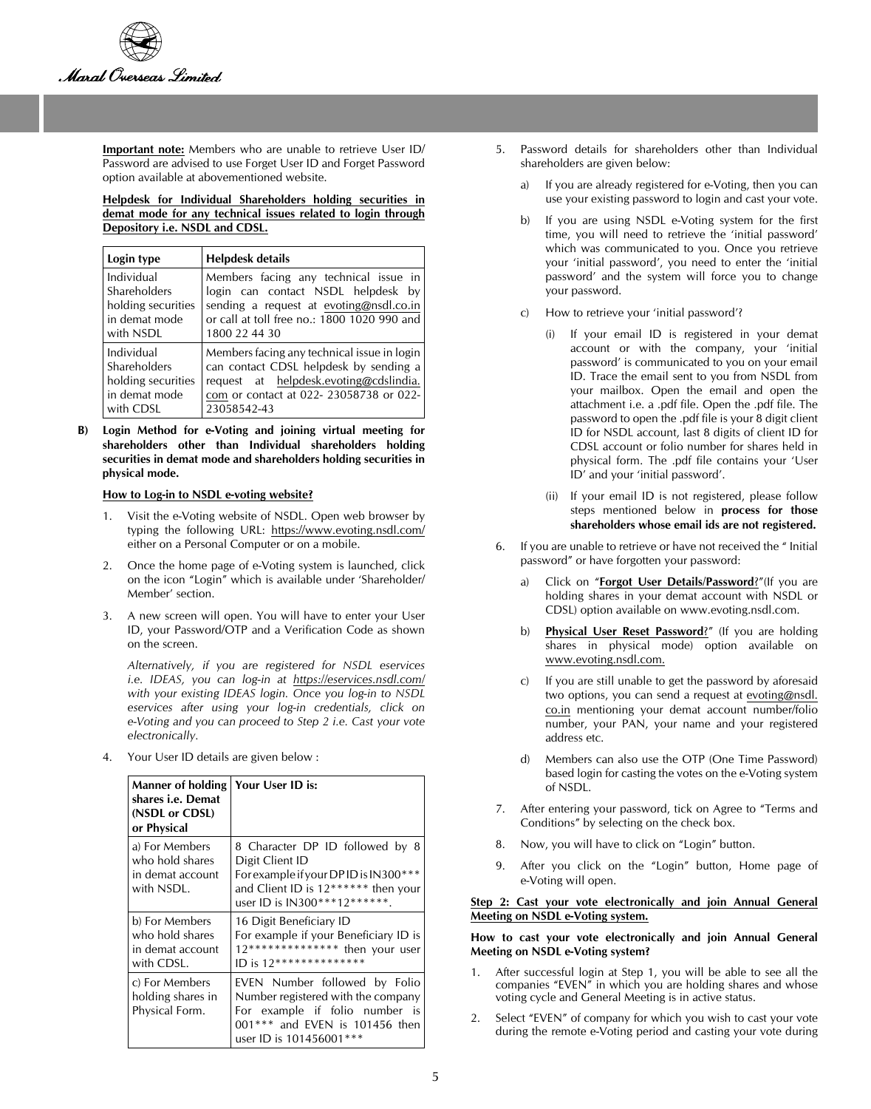

**Important note:** Members who are unable to retrieve User ID/ Password are advised to use Forget User ID and Forget Password option available at abovementioned website.

**Helpdesk for Individual Shareholders holding securities in demat mode for any technical issues related to login through Depository i.e. NSDL and CDSL.**

| Login type         | Helpdesk details                            |  |
|--------------------|---------------------------------------------|--|
| Individual         | Members facing any technical issue in       |  |
| Shareholders       | login can contact NSDL helpdesk by          |  |
| holding securities | sending a request at evoting@nsdl.co.in     |  |
| in demat mode      | or call at toll free no.: 1800 1020 990 and |  |
| with NSDL          | 1800 22 44 30                               |  |
| Individual         | Members facing any technical issue in login |  |
| Shareholders       | can contact CDSL helpdesk by sending a      |  |
| holding securities | request at helpdesk.evoting@cdslindia.      |  |
| in demat mode      | com or contact at 022-23058738 or 022-      |  |
| with CDSL          | 23058542-43                                 |  |

**B) Login Method for e-Voting and joining virtual meeting for shareholders other than Individual shareholders holding securities in demat mode and shareholders holding securities in physical mode.**

#### **How to Log-in to NSDL e-voting website?**

- 1. Visit the e-Voting website of NSDL. Open web browser by typing the following URL: https://www.evoting.nsdl.com/ either on a Personal Computer or on a mobile.
- 2. Once the home page of e-Voting system is launched, click on the icon "Login" which is available under 'Shareholder/ Member' section.
- 3. A new screen will open. You will have to enter your User ID, your Password/OTP and a Verification Code as shown on the screen.

*Alternatively, if you are registered for NSDL eservices i.e. IDEAS, you can log-in at https://eservices.nsdl.com/ with your existing IDEAS login. Once you log-in to NSDL eservices after using your log-in credentials, click on e-Voting and you can proceed to Step 2 i.e. Cast your vote electronically.*

4. Your User ID details are given below :

| Manner of holding<br>shares i.e. Demat<br>(NSDL or CDSL)<br>or Physical | Your User ID is:                                                                                                                                                   |
|-------------------------------------------------------------------------|--------------------------------------------------------------------------------------------------------------------------------------------------------------------|
| a) For Members<br>who hold shares<br>in demat account<br>with NSDL.     | 8 Character DP ID followed by 8<br>Digit Client ID<br>For example if your DPID is IN300***<br>and Client ID is 12****** then your<br>user ID is IN300***12*******. |
| b) For Members<br>who hold shares<br>in demat account<br>with CDSL.     | 16 Digit Beneficiary ID<br>For example if your Beneficiary ID is<br>12************** then your user<br>ID is 12**************                                      |
| c) For Members<br>holding shares in<br>Physical Form.                   | EVEN Number followed by Folio<br>Number registered with the company<br>For example if folio number is<br>001*** and EVEN is 101456 then<br>user ID is 101456001*** |

- 5. Password details for shareholders other than Individual shareholders are given below:
	- a) If you are already registered for e-Voting, then you can use your existing password to login and cast your vote.
	- b) If you are using NSDL e-Voting system for the first time, you will need to retrieve the 'initial password' which was communicated to you. Once you retrieve your 'initial password', you need to enter the 'initial password' and the system will force you to change your password.
	- c) How to retrieve your 'initial password'?
		- If your email ID is registered in your demat account or with the company, your 'initial password' is communicated to you on your email ID. Trace the email sent to you from NSDL from your mailbox. Open the email and open the attachment i.e. a .pdf file. Open the .pdf file. The password to open the .pdf file is your 8 digit client ID for NSDL account, last 8 digits of client ID for CDSL account or folio number for shares held in physical form. The .pdf file contains your 'User ID' and your 'initial password'.
		- (ii) If your email ID is not registered, please follow steps mentioned below in **process for those shareholders whose email ids are not registered.**
- 6. If you are unable to retrieve or have not received the " Initial password" or have forgotten your password:
	- a) Click on "**Forgot User Details/Password**?"(If you are holding shares in your demat account with NSDL or CDSL) option available on www.evoting.nsdl.com.
	- b) **Physical User Reset Password**?" (If you are holding shares in physical mode) option available on www.evoting.nsdl.com.
	- c) If you are still unable to get the password by aforesaid two options, you can send a request at evoting@nsdl. co.in mentioning your demat account number/folio number, your PAN, your name and your registered address etc.
	- d) Members can also use the OTP (One Time Password) based login for casting the votes on the e-Voting system of NSDL.
- 7. After entering your password, tick on Agree to "Terms and Conditions" by selecting on the check box.
- 8. Now, you will have to click on "Login" button.
- 9. After you click on the "Login" button, Home page of e-Voting will open.

#### **Step 2: Cast your vote electronically and join Annual General Meeting on NSDL e-Voting system.**

#### **How to cast your vote electronically and join Annual General Meeting on NSDL e-Voting system?**

- 1. After successful login at Step 1, you will be able to see all the companies "EVEN" in which you are holding shares and whose voting cycle and General Meeting is in active status.
- 2. Select "EVEN" of company for which you wish to cast your vote during the remote e-Voting period and casting your vote during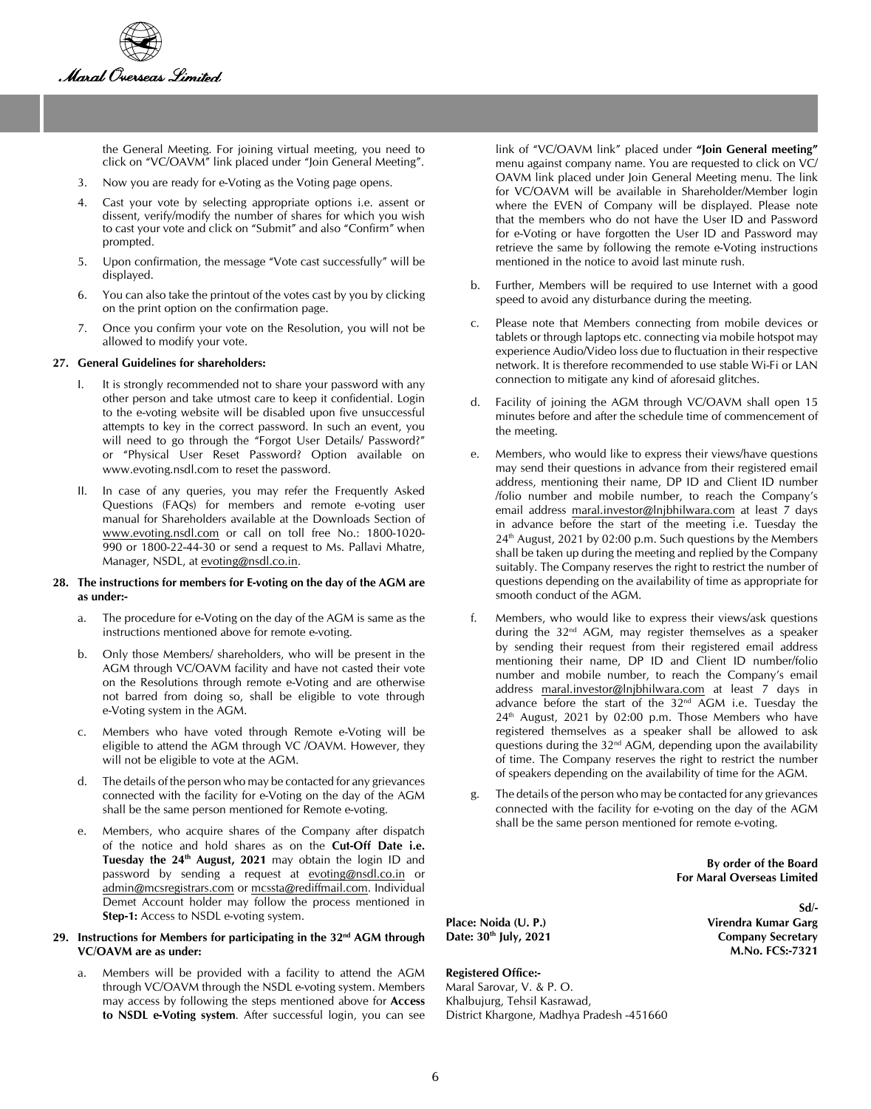

the General Meeting. For joining virtual meeting, you need to click on "VC/OAVM" link placed under "Join General Meeting".

- 3. Now you are ready for e-Voting as the Voting page opens.
- 4. Cast your vote by selecting appropriate options i.e. assent or dissent, verify/modify the number of shares for which you wish to cast your vote and click on "Submit" and also "Confirm" when prompted.
- 5. Upon confirmation, the message "Vote cast successfully" will be displayed.
- 6. You can also take the printout of the votes cast by you by clicking on the print option on the confirmation page.
- 7. Once you confirm your vote on the Resolution, you will not be allowed to modify your vote.

#### **27. General Guidelines for shareholders:**

- I. It is strongly recommended not to share your password with any other person and take utmost care to keep it confidential. Login to the e-voting website will be disabled upon five unsuccessful attempts to key in the correct password. In such an event, you will need to go through the "Forgot User Details/ Password?" or "Physical User Reset Password? Option available on www.evoting.nsdl.com to reset the password.
- II. In case of any queries, you may refer the Frequently Asked Questions (FAQs) for members and remote e-voting user manual for Shareholders available at the Downloads Section of www.evoting.nsdl.com or call on toll free No.: 1800-1020- 990 or 1800-22-44-30 or send a request to Ms. Pallavi Mhatre, Manager, NSDL, at evoting@nsdl.co.in.

#### **28. The instructions for members for E-voting on the day of the AGM are as under:-**

- a. The procedure for e-Voting on the day of the AGM is same as the instructions mentioned above for remote e-voting.
- b. Only those Members/ shareholders, who will be present in the AGM through VC/OAVM facility and have not casted their vote on the Resolutions through remote e-Voting and are otherwise not barred from doing so, shall be eligible to vote through e-Voting system in the AGM.
- c. Members who have voted through Remote e-Voting will be eligible to attend the AGM through VC /OAVM. However, they will not be eligible to vote at the AGM.
- d. The details of the person who may be contacted for any grievances connected with the facility for e-Voting on the day of the AGM shall be the same person mentioned for Remote e-voting.
- Members, who acquire shares of the Company after dispatch of the notice and hold shares as on the **Cut-Off Date i.e.**  Tuesday the 24<sup>th</sup> August, 2021 may obtain the login ID and password by sending a request at evoting@nsdl.co.in or admin@mcsregistrars.com or mcssta@rediffmail.com. Individual Demet Account holder may follow the process mentioned in **Step-1:** Access to NSDL e-voting system.

#### **29. Instructions for Members for participating in the 32nd AGM through VC/OAVM are as under:**

a. Members will be provided with a facility to attend the AGM through VC/OAVM through the NSDL e-voting system. Members may access by following the steps mentioned above for **Access to NSDL e-Voting system**. After successful login, you can see link of "VC/OAVM link" placed under **"Join General meeting"** menu against company name. You are requested to click on VC/ OAVM link placed under Join General Meeting menu. The link for VC/OAVM will be available in Shareholder/Member login where the EVEN of Company will be displayed. Please note that the members who do not have the User ID and Password for e-Voting or have forgotten the User ID and Password may retrieve the same by following the remote e-Voting instructions mentioned in the notice to avoid last minute rush.

- b. Further, Members will be required to use Internet with a good speed to avoid any disturbance during the meeting.
- c. Please note that Members connecting from mobile devices or tablets or through laptops etc. connecting via mobile hotspot may experience Audio/Video loss due to fluctuation in their respective network. It is therefore recommended to use stable Wi-Fi or LAN connection to mitigate any kind of aforesaid glitches.
- d. Facility of joining the AGM through VC/OAVM shall open 15 minutes before and after the schedule time of commencement of the meeting.
- Members, who would like to express their views/have questions may send their questions in advance from their registered email address, mentioning their name, DP ID and Client ID number /folio number and mobile number, to reach the Company's email address maral.investor@lnjbhilwara.com at least 7 days in advance before the start of the meeting i.e. Tuesday the  $24<sup>th</sup>$  August, 2021 by 02:00 p.m. Such questions by the Members shall be taken up during the meeting and replied by the Company suitably. The Company reserves the right to restrict the number of questions depending on the availability of time as appropriate for smooth conduct of the AGM.
- f. Members, who would like to express their views/ask questions during the 32nd AGM, may register themselves as a speaker by sending their request from their registered email address mentioning their name, DP ID and Client ID number/folio number and mobile number, to reach the Company's email address maral.investor@lnjbhilwara.com at least 7 days in advance before the start of the 32nd AGM i.e. Tuesday the  $24<sup>th</sup>$  August, 2021 by 02:00 p.m. Those Members who have registered themselves as a speaker shall be allowed to ask questions during the 32nd AGM, depending upon the availability of time. The Company reserves the right to restrict the number of speakers depending on the availability of time for the AGM.
- g. The details of the person who may be contacted for any grievances connected with the facility for e-voting on the day of the AGM shall be the same person mentioned for remote e-voting.

 **Sd/-**

**By order of the Board For Maral Overseas Limited**

**M.No. FCS:-7321**

**Place: Noida (U. P.) Virendra Kumar Garg**  Date: 30<sup>th</sup> July, 2021 **Company Secretary** 

## **Registered Office:-**

Maral Sarovar, V. & P. O. Khalbujurg, Tehsil Kasrawad, District Khargone, Madhya Pradesh -451660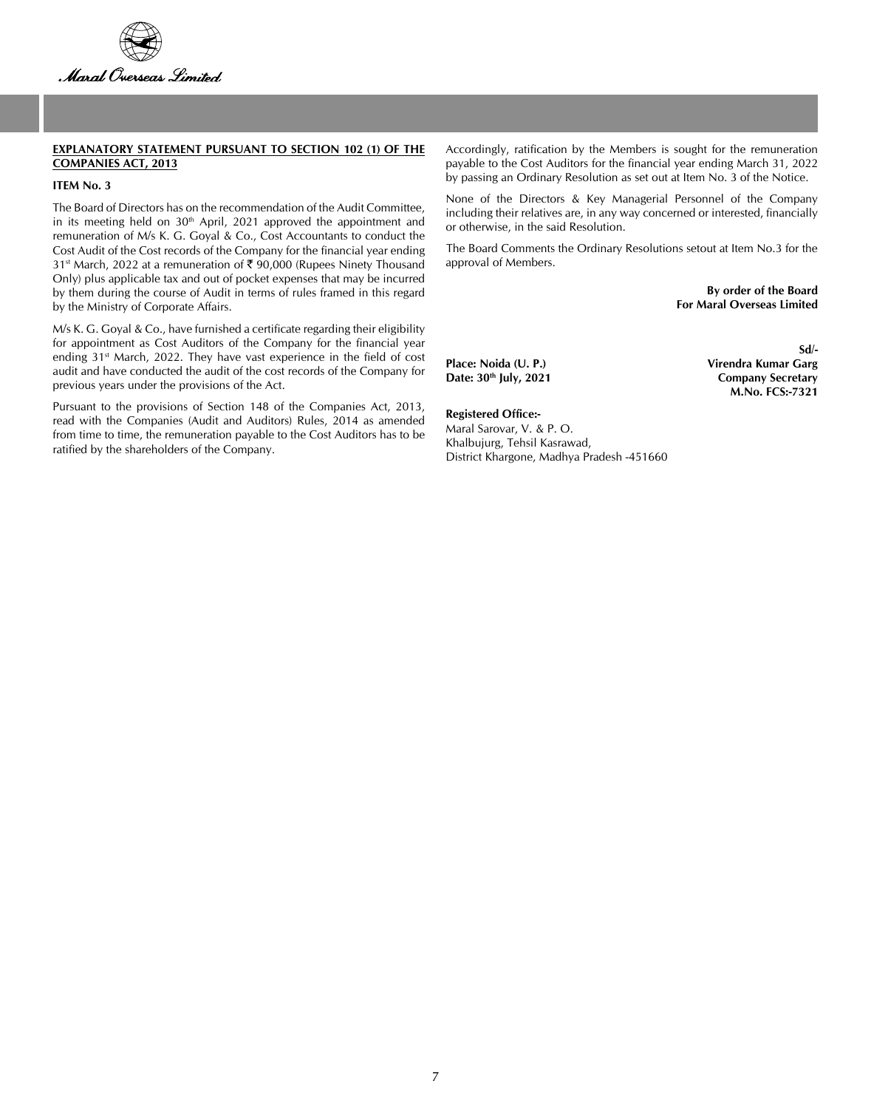

#### **EXPLANATORY STATEMENT PURSUANT TO SECTION 102 (1) OF THE COMPANIES ACT, 2013**

## **ITEM No. 3**

The Board of Directors has on the recommendation of the Audit Committee, in its meeting held on  $30<sup>th</sup>$  April, 2021 approved the appointment and remuneration of M/s K. G. Goyal & Co., Cost Accountants to conduct the Cost Audit of the Cost records of the Company for the financial year ending 31<sup>st</sup> March, 2022 at a remuneration of ₹ 90,000 (Rupees Ninety Thousand Only) plus applicable tax and out of pocket expenses that may be incurred by them during the course of Audit in terms of rules framed in this regard by the Ministry of Corporate Affairs.

M/s K. G. Goyal & Co., have furnished a certificate regarding their eligibility for appointment as Cost Auditors of the Company for the financial year ending 31<sup>st</sup> March, 2022. They have vast experience in the field of cost audit and have conducted the audit of the cost records of the Company for previous years under the provisions of the Act.

Pursuant to the provisions of Section 148 of the Companies Act, 2013, read with the Companies (Audit and Auditors) Rules, 2014 as amended from time to time, the remuneration payable to the Cost Auditors has to be ratified by the shareholders of the Company.

Accordingly, ratification by the Members is sought for the remuneration payable to the Cost Auditors for the financial year ending March 31, 2022 by passing an Ordinary Resolution as set out at Item No. 3 of the Notice.

None of the Directors & Key Managerial Personnel of the Company including their relatives are, in any way concerned or interested, financially or otherwise, in the said Resolution.

The Board Comments the Ordinary Resolutions setout at Item No.3 for the approval of Members.

> **By order of the Board For Maral Overseas Limited**

> > **Sd/-**

**M.No. FCS:-7321**

Place: Noida (U. P.) **Virendra Kumar Garg** Date: 30<sup>th</sup> July, 2021 Company Secretary

**Registered Office:-** Maral Sarovar, V. & P. O. Khalbujurg, Tehsil Kasrawad,

District Khargone, Madhya Pradesh -451660

7